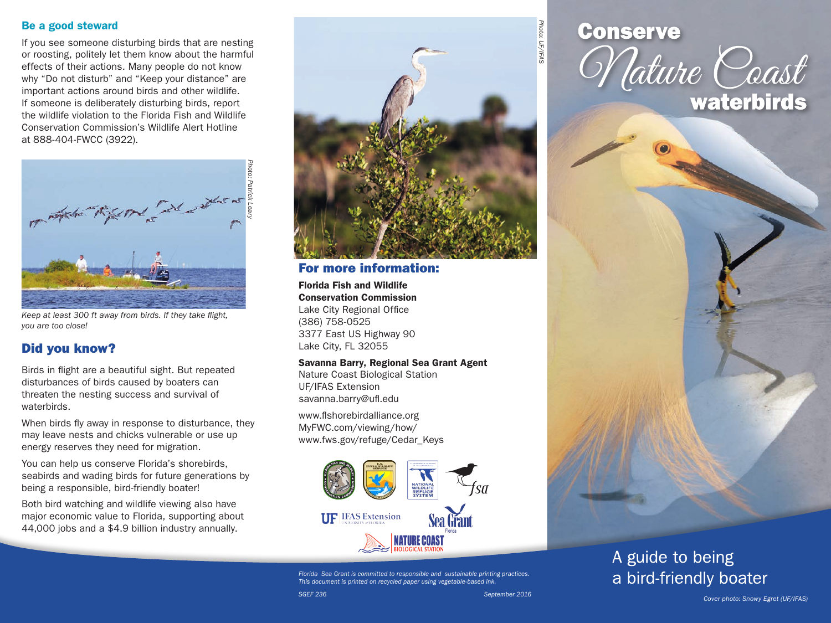### Be a good steward

If you see someone disturbing birds that are nesting or roosting, politely let them know about the harmful effects of their actions. Many people do not know why "Do not disturb" and "Keep your distance" are important actions around birds and other wildlife. If someone is deliberately disturbing birds, report the wildlife violation to the Florida Fish and Wildlife Conservation Commission's Wildlife Alert Hotline at 888-404-FWCC (3922).



*Keep at least 300 ft away from birds. If they take flight, you are too close!*

## Did you know?

Birds in flight are a beautiful sight. But repeated disturbances of birds caused by boaters can threaten the nesting success and survival of waterbirds.

When birds fly away in response to disturbance, they may leave nests and chicks vulnerable or use up energy reserves they need for migration.

You can help us conserve Florida's shorebirds, seabirds and wading birds for future generations by being a responsible, bird-friendly boater!

Both bird watching and wildlife viewing also have major economic value to Florida, supporting about 44,000 jobs and a \$4.9 billion industry annually.



### For more information:

Florida Fish and Wildlife Conservation Commission Lake City Regional Office (386) 758-0525 3377 East US Highway 90 Lake City, FL 32055

### Savanna Barry, Regional Sea Grant Agent

Nature Coast Biological Station UF/IFAS Extension savanna.barry@ufl.edu

www.flshorebirdalliance.org MyFWC.com/viewing/how/ www.fws.gov/refuge/Cedar\_Keys



*Florida Sea Grant is committed to responsible and sustainable printing practices. This document is printed on recycled paper using vegetable-based ink.*



# A guide to being a bird-friendly boater